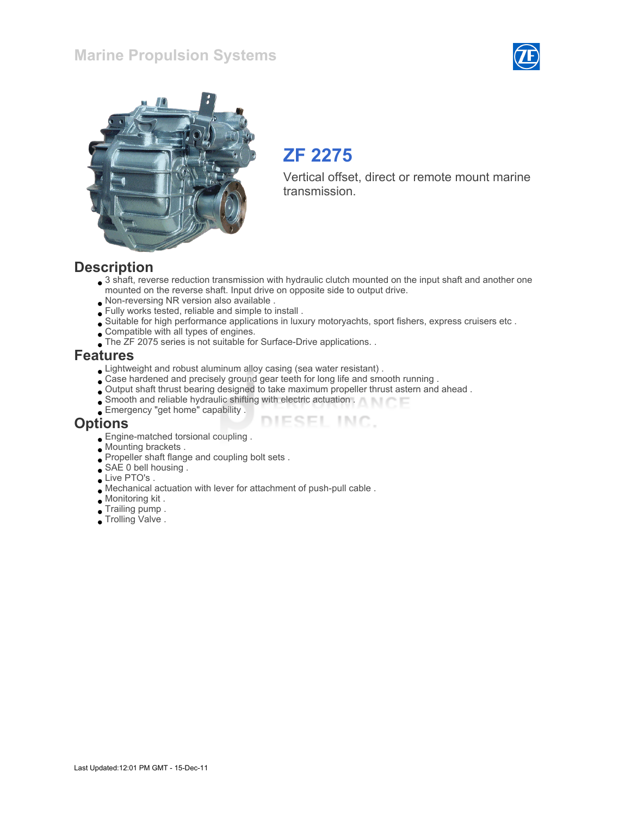## Marine Propulsion Systems





# ZF 2275

Vertical offset, direct or remote mount marine transmission.

### **Description**

 $\bullet$  3 shaft, reverse reduction transmission with hydraulic clutch mounted on the input shaft and another one mounted on the reverse shaft. Input drive on opposite side to output drive.

ESEL INC.

- Non-reversing NR version also available .
- Fully works tested, reliable and simple to install .
- Suitable for high performance applications in luxury motoryachts, sport fishers, express cruisers etc .
- Compatible with all types of engines.
- The ZF 2075 series is not suitable for Surface-Drive applications...

#### Features

- Lightweight and robust aluminum alloy casing (sea water resistant) .
- Case hardened and precisely ground gear teeth for long life and smooth running .
- Output shaft thrust bearing designed to take maximum propeller thrust astern and ahead .
- Smooth and reliable hydraulic shifting with electric actuation .
- Emergency "get home" capability .

#### **Options**

- Engine-matched torsional coupling .
- Mounting brackets .
- Propeller shaft flange and coupling bolt sets.
- SAE 0 bell housing
- Live PTO's
- Mechanical actuation with lever for attachment of push-pull cable .
- Monitoring kit .
- Trailing pump .
- Trolling Valve.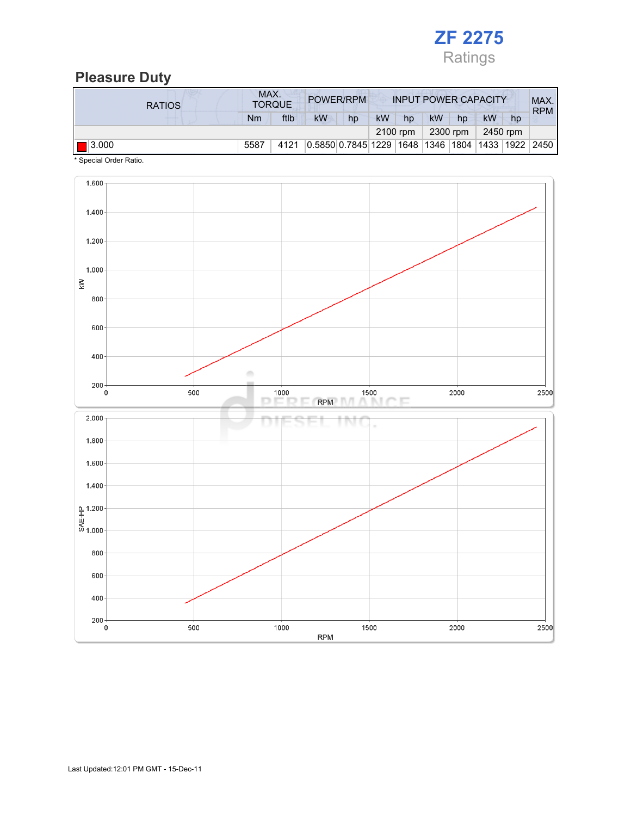

## Pleasure Duty

| <b>RATIOS</b>        | MAX.<br><b>TORQUE</b> |      | POWER/RPM                                        |    | <b>INPUT POWER CAPACITY</b> |    |           |    |          | MAX.<br><b>RPM</b> |  |
|----------------------|-----------------------|------|--------------------------------------------------|----|-----------------------------|----|-----------|----|----------|--------------------|--|
|                      | Nm                    | ftlb | <b>kW</b>                                        | hp | <b>kW</b>                   | hp | <b>kW</b> | hp | kW       | hp                 |  |
|                      |                       |      |                                                  |    | 2100 rpm                    |    | 2300 rpm  |    | 2450 rpm |                    |  |
| $\blacksquare$ 3.000 | 5587                  | 4121 | 0.5850 0.7845 1229 1648 1346 1804 1433 1922 2450 |    |                             |    |           |    |          |                    |  |

\* Special Order Ratio.

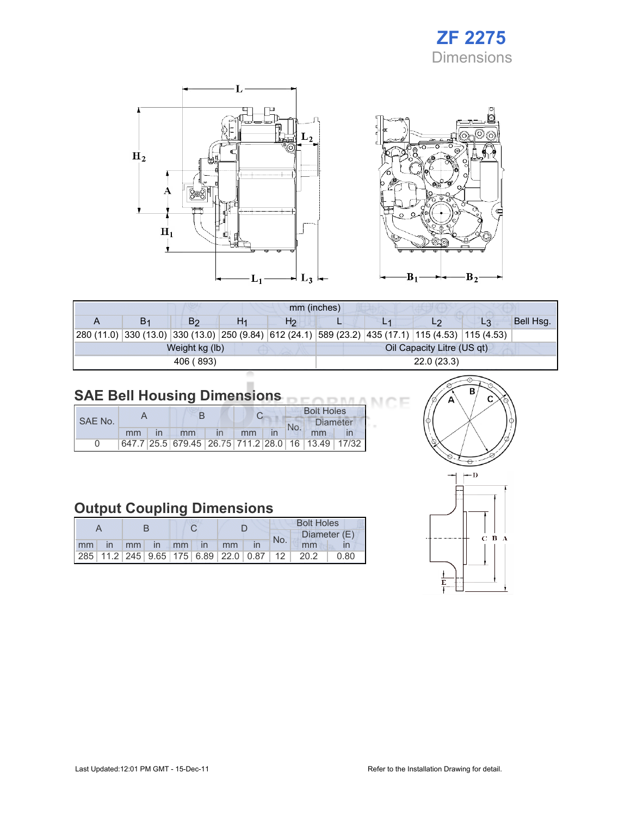# ZF 2275 **Dimensions**



| mm (inches)                                                                                                |    |                |    |                |                            |  |  |                |           |  |  |
|------------------------------------------------------------------------------------------------------------|----|----------------|----|----------------|----------------------------|--|--|----------------|-----------|--|--|
|                                                                                                            | В1 | B <sub>2</sub> | H1 | H <sub>2</sub> |                            |  |  | L <sub>3</sub> | Bell Hsg. |  |  |
| 280 (11.0)  330 (13.0)  330 (13.0)  250 (9.84)  612 (24.1)  589 (23.2)  435 (17.1)  115 (4.53)  115 (4.53) |    |                |    |                |                            |  |  |                |           |  |  |
|                                                                                                            |    | Weight kg (lb) |    |                | Oil Capacity Litre (US qt) |  |  |                |           |  |  |
|                                                                                                            |    | 406 (893)      |    |                | 22.0(23.3)                 |  |  |                |           |  |  |
|                                                                                                            |    |                |    |                |                            |  |  |                |           |  |  |

#### SAE Bell Housing Dimensions

| SAE No. |    |  |                                                   |  |    |  | <b>Bolt Holes</b> |                 |  |  |
|---------|----|--|---------------------------------------------------|--|----|--|-------------------|-----------------|--|--|
|         |    |  |                                                   |  |    |  |                   | <b>Diameter</b> |  |  |
|         | mm |  | mm                                                |  | mm |  | No.               | mm              |  |  |
|         |    |  | 647.7 25.5 679.45 26.75 711.2 28.0 16 13.49 17/32 |  |    |  |                   |                 |  |  |

# Output Coupling Dimensions

|  |                      |  |  |  |  | <b>Bolt Holes</b> |     |                                              |      |  |
|--|----------------------|--|--|--|--|-------------------|-----|----------------------------------------------|------|--|
|  |                      |  |  |  |  |                   | No. | Diameter (E)                                 |      |  |
|  | mm in mm in mm in mm |  |  |  |  |                   |     | mm                                           |      |  |
|  |                      |  |  |  |  |                   |     | 285 11.2 245 9.65 175 6.89 22.0 0.87 12 20.2 | 0.80 |  |